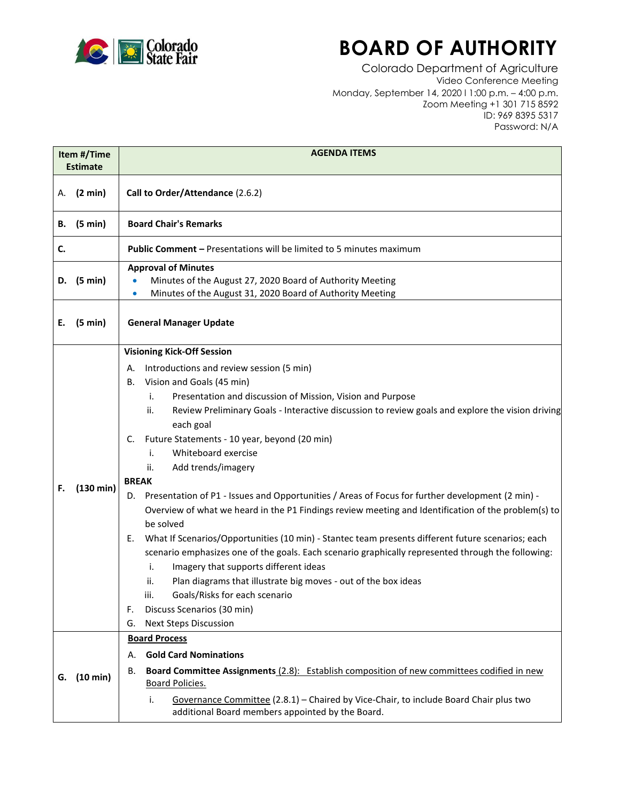

## **BOARD OF AUTHORITY**

Colorado Department of Agriculture Video Conference Meeting Monday, September 14, 2020 l 1:00 p.m. – 4:00 p.m. Zoom Meeting +1 301 715 8592 ID: 969 8395 5317 Password: N/A

| Item #/Time<br><b>Estimate</b> |                              | <b>AGENDA ITEMS</b>                                                                                                                                                                                                                                                                                                                                                                                                                                                                                                                                                                                                                                                                                                                                                                                                                                                                                                                                                                                                                                                                                     |
|--------------------------------|------------------------------|---------------------------------------------------------------------------------------------------------------------------------------------------------------------------------------------------------------------------------------------------------------------------------------------------------------------------------------------------------------------------------------------------------------------------------------------------------------------------------------------------------------------------------------------------------------------------------------------------------------------------------------------------------------------------------------------------------------------------------------------------------------------------------------------------------------------------------------------------------------------------------------------------------------------------------------------------------------------------------------------------------------------------------------------------------------------------------------------------------|
| А.                             | $(2 \text{ min})$            | Call to Order/Attendance (2.6.2)                                                                                                                                                                                                                                                                                                                                                                                                                                                                                                                                                                                                                                                                                                                                                                                                                                                                                                                                                                                                                                                                        |
| В.                             | (5 min)                      | <b>Board Chair's Remarks</b>                                                                                                                                                                                                                                                                                                                                                                                                                                                                                                                                                                                                                                                                                                                                                                                                                                                                                                                                                                                                                                                                            |
| c.                             |                              | <b>Public Comment - Presentations will be limited to 5 minutes maximum</b>                                                                                                                                                                                                                                                                                                                                                                                                                                                                                                                                                                                                                                                                                                                                                                                                                                                                                                                                                                                                                              |
| D.<br>Е.                       | (5 min)<br>$(5 \text{ min})$ | <b>Approval of Minutes</b><br>Minutes of the August 27, 2020 Board of Authority Meeting<br>Minutes of the August 31, 2020 Board of Authority Meeting<br><b>General Manager Update</b>                                                                                                                                                                                                                                                                                                                                                                                                                                                                                                                                                                                                                                                                                                                                                                                                                                                                                                                   |
|                                |                              | <b>Visioning Kick-Off Session</b>                                                                                                                                                                                                                                                                                                                                                                                                                                                                                                                                                                                                                                                                                                                                                                                                                                                                                                                                                                                                                                                                       |
| F.                             | $(130 \text{ min})$          | Introductions and review session (5 min)<br>А.<br>Vision and Goals (45 min)<br>В.<br>Presentation and discussion of Mission, Vision and Purpose<br>i.<br>Review Preliminary Goals - Interactive discussion to review goals and explore the vision driving<br>ii.<br>each goal<br>Future Statements - 10 year, beyond (20 min)<br>C.<br>Whiteboard exercise<br>i.<br>Add trends/imagery<br>ii.<br><b>BREAK</b><br>Presentation of P1 - Issues and Opportunities / Areas of Focus for further development (2 min) -<br>D.<br>Overview of what we heard in the P1 Findings review meeting and Identification of the problem(s) to<br>be solved<br>What If Scenarios/Opportunities (10 min) - Stantec team presents different future scenarios; each<br>Е.<br>scenario emphasizes one of the goals. Each scenario graphically represented through the following:<br>Imagery that supports different ideas<br>i.<br>Plan diagrams that illustrate big moves - out of the box ideas<br>ii.<br>Goals/Risks for each scenario<br>iii.<br>Discuss Scenarios (30 min)<br>F.<br><b>Next Steps Discussion</b><br>G. |
| G.                             | (10 min)                     | <b>Board Process</b><br><b>Gold Card Nominations</b><br>А.<br>Board Committee Assignments (2.8): Establish composition of new committees codified in new<br>В.<br><b>Board Policies.</b><br>i.<br>Governance Committee (2.8.1) - Chaired by Vice-Chair, to include Board Chair plus two<br>additional Board members appointed by the Board.                                                                                                                                                                                                                                                                                                                                                                                                                                                                                                                                                                                                                                                                                                                                                             |